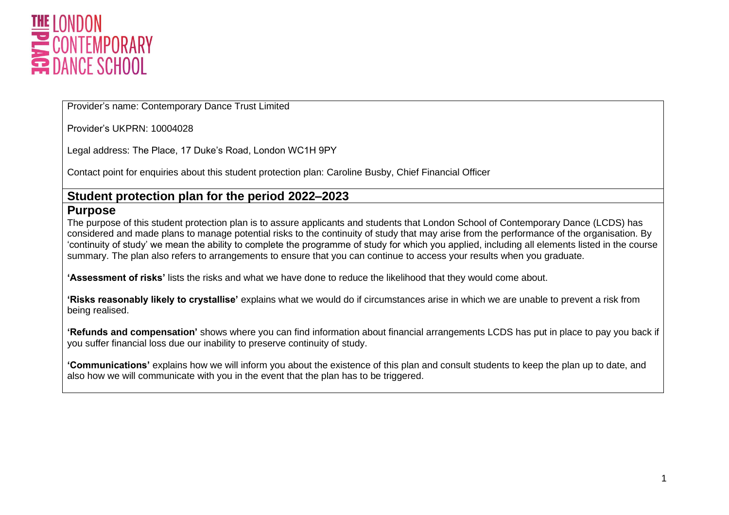

Provider's name: Contemporary Dance Trust Limited

Provider's UKPRN: 10004028

Legal address: The Place, 17 Duke's Road, London WC1H 9PY

Contact point for enquiries about this student protection plan: Caroline Busby, Chief Financial Officer

#### **Student protection plan for the period 2022–2023**

#### **Purpose**

The purpose of this student protection plan is to assure applicants and students that London School of Contemporary Dance (LCDS) has considered and made plans to manage potential risks to the continuity of study that may arise from the performance of the organisation. By 'continuity of study' we mean the ability to complete the programme of study for which you applied, including all elements listed in the course summary. The plan also refers to arrangements to ensure that you can continue to access your results when you graduate.

**'Assessment of risks'** lists the risks and what we have done to reduce the likelihood that they would come about.

**'Risks reasonably likely to crystallise'** explains what we would do if circumstances arise in which we are unable to prevent a risk from being realised.

**'Refunds and compensation'** shows where you can find information about financial arrangements LCDS has put in place to pay you back if you suffer financial loss due our inability to preserve continuity of study.

**'Communications'** explains how we will inform you about the existence of this plan and consult students to keep the plan up to date, and also how we will communicate with you in the event that the plan has to be triggered.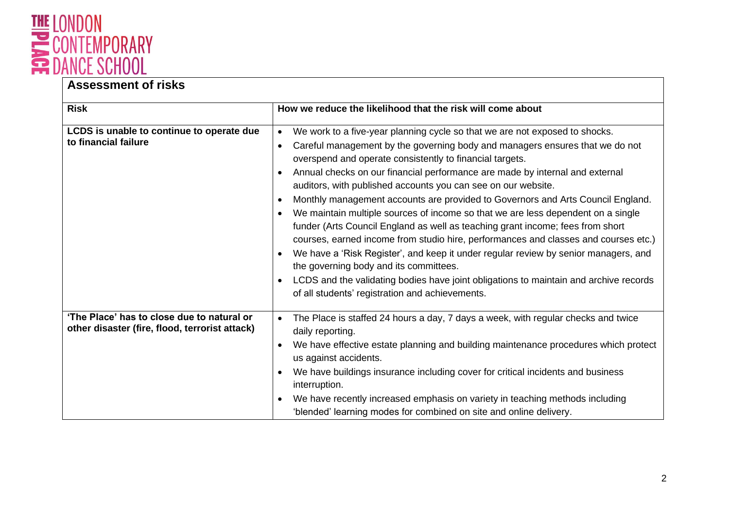

| <b>Risk</b>                                                                                  | How we reduce the likelihood that the risk will come about                                                                                                                                                                                                                                                                                                                                                                                                                                                                                                                                                                                                                                                                                                                                                                                                                                                                                                                                                         |  |
|----------------------------------------------------------------------------------------------|--------------------------------------------------------------------------------------------------------------------------------------------------------------------------------------------------------------------------------------------------------------------------------------------------------------------------------------------------------------------------------------------------------------------------------------------------------------------------------------------------------------------------------------------------------------------------------------------------------------------------------------------------------------------------------------------------------------------------------------------------------------------------------------------------------------------------------------------------------------------------------------------------------------------------------------------------------------------------------------------------------------------|--|
| LCDS is unable to continue to operate due<br>to financial failure                            | We work to a five-year planning cycle so that we are not exposed to shocks.<br>$\bullet$<br>Careful management by the governing body and managers ensures that we do not<br>overspend and operate consistently to financial targets.<br>Annual checks on our financial performance are made by internal and external<br>auditors, with published accounts you can see on our website.<br>Monthly management accounts are provided to Governors and Arts Council England.<br>We maintain multiple sources of income so that we are less dependent on a single<br>funder (Arts Council England as well as teaching grant income; fees from short<br>courses, earned income from studio hire, performances and classes and courses etc.)<br>We have a 'Risk Register', and keep it under regular review by senior managers, and<br>the governing body and its committees.<br>LCDS and the validating bodies have joint obligations to maintain and archive records<br>of all students' registration and achievements. |  |
| 'The Place' has to close due to natural or<br>other disaster (fire, flood, terrorist attack) | The Place is staffed 24 hours a day, 7 days a week, with regular checks and twice<br>$\bullet$<br>daily reporting.<br>We have effective estate planning and building maintenance procedures which protect<br>us against accidents.<br>We have buildings insurance including cover for critical incidents and business<br>interruption.<br>We have recently increased emphasis on variety in teaching methods including<br>'blended' learning modes for combined on site and online delivery.                                                                                                                                                                                                                                                                                                                                                                                                                                                                                                                       |  |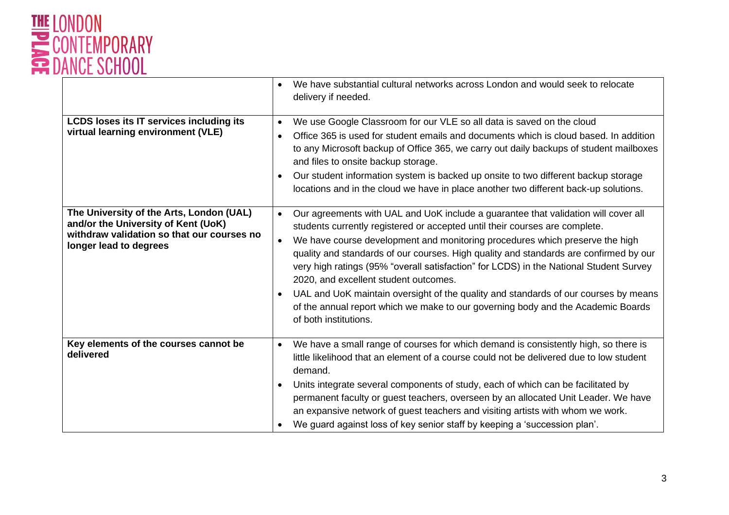

|                                                                                                                                                         | We have substantial cultural networks across London and would seek to relocate<br>$\bullet$<br>delivery if needed.                                                                                                                                                                                                                                                                                                                                                                                                                                                                                                                                                                                          |
|---------------------------------------------------------------------------------------------------------------------------------------------------------|-------------------------------------------------------------------------------------------------------------------------------------------------------------------------------------------------------------------------------------------------------------------------------------------------------------------------------------------------------------------------------------------------------------------------------------------------------------------------------------------------------------------------------------------------------------------------------------------------------------------------------------------------------------------------------------------------------------|
| <b>LCDS loses its IT services including its</b><br>virtual learning environment (VLE)                                                                   | We use Google Classroom for our VLE so all data is saved on the cloud<br>$\bullet$<br>Office 365 is used for student emails and documents which is cloud based. In addition<br>$\bullet$<br>to any Microsoft backup of Office 365, we carry out daily backups of student mailboxes<br>and files to onsite backup storage.<br>Our student information system is backed up onsite to two different backup storage<br>$\bullet$<br>locations and in the cloud we have in place another two different back-up solutions.                                                                                                                                                                                        |
| The University of the Arts, London (UAL)<br>and/or the University of Kent (UoK)<br>withdraw validation so that our courses no<br>longer lead to degrees | Our agreements with UAL and UoK include a guarantee that validation will cover all<br>$\bullet$<br>students currently registered or accepted until their courses are complete.<br>We have course development and monitoring procedures which preserve the high<br>$\bullet$<br>quality and standards of our courses. High quality and standards are confirmed by our<br>very high ratings (95% "overall satisfaction" for LCDS) in the National Student Survey<br>2020, and excellent student outcomes.<br>UAL and UoK maintain oversight of the quality and standards of our courses by means<br>of the annual report which we make to our governing body and the Academic Boards<br>of both institutions. |
| Key elements of the courses cannot be<br>delivered                                                                                                      | We have a small range of courses for which demand is consistently high, so there is<br>$\bullet$<br>little likelihood that an element of a course could not be delivered due to low student<br>demand.<br>Units integrate several components of study, each of which can be facilitated by<br>$\bullet$<br>permanent faculty or guest teachers, overseen by an allocated Unit Leader. We have<br>an expansive network of guest teachers and visiting artists with whom we work.<br>We guard against loss of key senior staff by keeping a 'succession plan'.                                                                                                                                                |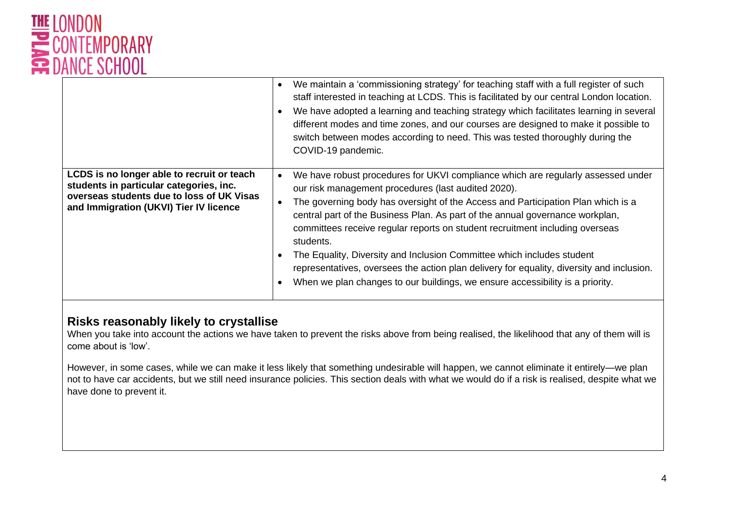

|                                                                                                                                                                              | We maintain a 'commissioning strategy' for teaching staff with a full register of such<br>$\bullet$<br>staff interested in teaching at LCDS. This is facilitated by our central London location.<br>We have adopted a learning and teaching strategy which facilitates learning in several<br>different modes and time zones, and our courses are designed to make it possible to<br>switch between modes according to need. This was tested thoroughly during the<br>COVID-19 pandemic.                                                                                                                                                                                                    |
|------------------------------------------------------------------------------------------------------------------------------------------------------------------------------|---------------------------------------------------------------------------------------------------------------------------------------------------------------------------------------------------------------------------------------------------------------------------------------------------------------------------------------------------------------------------------------------------------------------------------------------------------------------------------------------------------------------------------------------------------------------------------------------------------------------------------------------------------------------------------------------|
| LCDS is no longer able to recruit or teach<br>students in particular categories, inc.<br>overseas students due to loss of UK Visas<br>and Immigration (UKVI) Tier IV licence | We have robust procedures for UKVI compliance which are regularly assessed under<br>$\bullet$<br>our risk management procedures (last audited 2020).<br>The governing body has oversight of the Access and Participation Plan which is a<br>$\bullet$<br>central part of the Business Plan. As part of the annual governance workplan,<br>committees receive regular reports on student recruitment including overseas<br>students.<br>The Equality, Diversity and Inclusion Committee which includes student<br>representatives, oversees the action plan delivery for equality, diversity and inclusion.<br>When we plan changes to our buildings, we ensure accessibility is a priority. |

# **Risks reasonably likely to crystallise**

When you take into account the actions we have taken to prevent the risks above from being realised, the likelihood that any of them will is come about is 'low'.

However, in some cases, while we can make it less likely that something undesirable will happen, we cannot eliminate it entirely—we plan not to have car accidents, but we still need insurance policies. This section deals with what we would do if a risk is realised, despite what we have done to prevent it.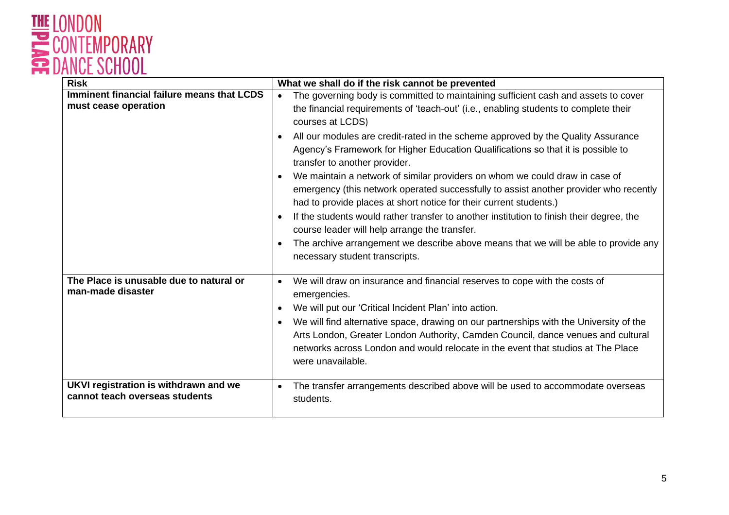

| <b>Risk</b>                                                             | What we shall do if the risk cannot be prevented                                                                                                                                                                                                                                                 |
|-------------------------------------------------------------------------|--------------------------------------------------------------------------------------------------------------------------------------------------------------------------------------------------------------------------------------------------------------------------------------------------|
| Imminent financial failure means that LCDS<br>must cease operation      | The governing body is committed to maintaining sufficient cash and assets to cover<br>$\bullet$<br>the financial requirements of 'teach-out' (i.e., enabling students to complete their<br>courses at LCDS)                                                                                      |
|                                                                         | All our modules are credit-rated in the scheme approved by the Quality Assurance<br>٠<br>Agency's Framework for Higher Education Qualifications so that it is possible to<br>transfer to another provider.                                                                                       |
|                                                                         | We maintain a network of similar providers on whom we could draw in case of<br>$\bullet$<br>emergency (this network operated successfully to assist another provider who recently<br>had to provide places at short notice for their current students.)                                          |
|                                                                         | If the students would rather transfer to another institution to finish their degree, the<br>$\bullet$<br>course leader will help arrange the transfer.                                                                                                                                           |
|                                                                         | The archive arrangement we describe above means that we will be able to provide any<br>$\bullet$<br>necessary student transcripts.                                                                                                                                                               |
| The Place is unusable due to natural or<br>man-made disaster            | We will draw on insurance and financial reserves to cope with the costs of<br>$\bullet$<br>emergencies.<br>We will put our 'Critical Incident Plan' into action.<br>٠                                                                                                                            |
|                                                                         | We will find alternative space, drawing on our partnerships with the University of the<br>$\bullet$<br>Arts London, Greater London Authority, Camden Council, dance venues and cultural<br>networks across London and would relocate in the event that studios at The Place<br>were unavailable. |
| UKVI registration is withdrawn and we<br>cannot teach overseas students | The transfer arrangements described above will be used to accommodate overseas<br>$\bullet$<br>students.                                                                                                                                                                                         |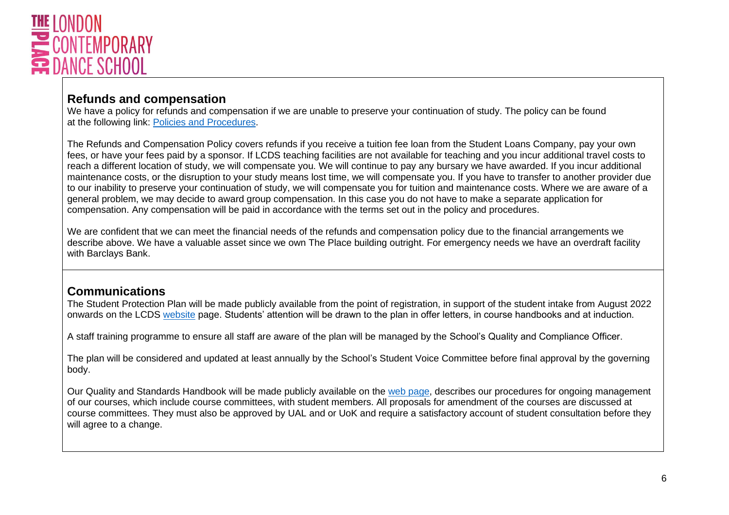

# **Refunds and compensation**

We have a policy for refunds and compensation if we are unable to preserve your continuation of study. The policy can be found at the following link: [Policies and Procedures.](https://www.lcds.ac.uk/policies-and-procedures)

The Refunds and Compensation Policy covers refunds if you receive a tuition fee loan from the Student Loans Company, pay your own fees, or have your fees paid by a sponsor. If LCDS teaching facilities are not available for teaching and you incur additional travel costs to reach a different location of study, we will compensate you. We will continue to pay any bursary we have awarded. If you incur additional maintenance costs, or the disruption to your study means lost time, we will compensate you. If you have to transfer to another provider due to our inability to preserve your continuation of study, we will compensate you for tuition and maintenance costs. Where we are aware of a general problem, we may decide to award group compensation. In this case you do not have to make a separate application for compensation. Any compensation will be paid in accordance with the terms set out in the policy and procedures.

We are confident that we can meet the financial needs of the refunds and compensation policy due to the financial arrangements we describe above. We have a valuable asset since we own The Place building outright. For emergency needs we have an overdraft facility with Barclays Bank.

# **Communications**

The Student Protection Plan will be made publicly available from the point of registration, in support of the student intake from August 2022 onwards on the LCDS [website](https://www.lcds.ac.uk/policies-and-procedures) page. Students' attention will be drawn to the plan in offer letters, in course handbooks and at induction.

A staff training programme to ensure all staff are aware of the plan will be managed by the School's Quality and Compliance Officer.

The plan will be considered and updated at least annually by the School's Student Voice Committee before final approval by the governing body.

Our Quality and Standards Handbook will be made publicly available on the [web page,](https://www.lcds.ac.uk/policies-and-procedures) describes our procedures for ongoing management of our courses, which include course committees, with student members. All proposals for amendment of the courses are discussed at course committees. They must also be approved by UAL and or UoK and require a satisfactory account of student consultation before they will agree to a change.